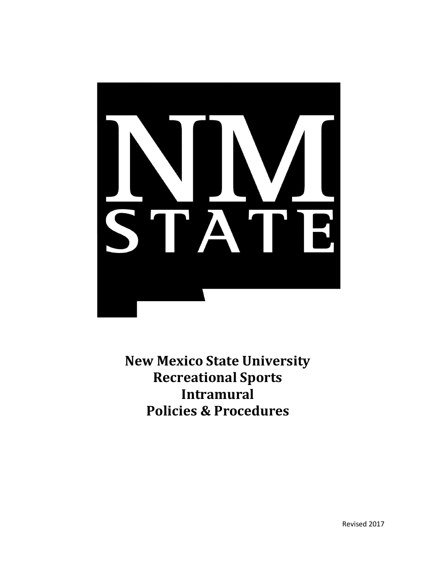

**New Mexico State University Recreational Sports Intramural Policies & Procedures**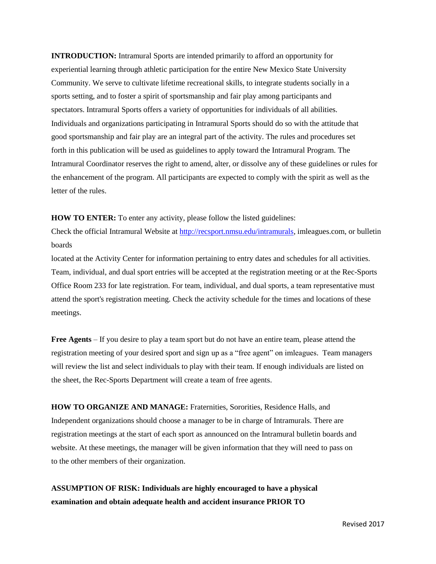**INTRODUCTION:** Intramural Sports are intended primarily to afford an opportunity for experiential learning through athletic participation for the entire New Mexico State University Community. We serve to cultivate lifetime recreational skills, to integrate students socially in a sports setting, and to foster a spirit of sportsmanship and fair play among participants and spectators. Intramural Sports offers a variety of opportunities for individuals of all abilities. Individuals and organizations participating in Intramural Sports should do so with the attitude that good sportsmanship and fair play are an integral part of the activity. The rules and procedures set forth in this publication will be used as guidelines to apply toward the Intramural Program. The Intramural Coordinator reserves the right to amend, alter, or dissolve any of these guidelines or rules for the enhancement of the program. All participants are expected to comply with the spirit as well as the letter of the rules.

**HOW TO ENTER:** To enter any activity, please follow the listed guidelines:

Check the official Intramural Website at [http://recsport.nmsu.edu/intramurals,](http://recsport.nmsu.edu/intramurals) imleagues.com, or bulletin boards

located at the Activity Center for information pertaining to entry dates and schedules for all activities. Team, individual, and dual sport entries will be accepted at the registration meeting or at the Rec-Sports Office Room 233 for late registration. For team, individual, and dual sports, a team representative must attend the sport's registration meeting. Check the activity schedule for the times and locations of these meetings.

**Free Agents** – If you desire to play a team sport but do not have an entire team, please attend the registration meeting of your desired sport and sign up as a "free agent" on imleagues. Team managers will review the list and select individuals to play with their team. If enough individuals are listed on the sheet, the Rec-Sports Department will create a team of free agents.

**HOW TO ORGANIZE AND MANAGE:** Fraternities, Sororities, Residence Halls, and Independent organizations should choose a manager to be in charge of Intramurals. There are registration meetings at the start of each sport as announced on the Intramural bulletin boards and website. At these meetings, the manager will be given information that they will need to pass on to the other members of their organization.

**ASSUMPTION OF RISK: Individuals are highly encouraged to have a physical examination and obtain adequate health and accident insurance PRIOR TO**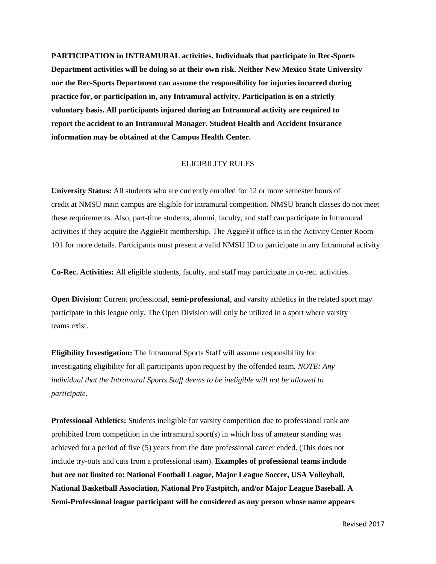**PARTICIPATION in INTRAMURAL activities. Individuals that participate in Rec-Sports Department activities will be doing so at their own risk. Neither New Mexico State University nor the Rec-Sports Department can assume the responsibility for injuries incurred during practice for, or participation in, any Intramural activity. Participation is on a strictly voluntary basis. All participants injured during an Intramural activity are required to report the accident to an Intramural Manager. Student Health and Accident Insurance information may be obtained at the Campus Health Center.**

#### ELIGIBILITY RULES

**University Status:** All students who are currently enrolled for 12 or more semester hours of credit at NMSU main campus are eligible for intramural competition. NMSU branch classes do not meet these requirements. Also, part-time students, alumni, faculty, and staff can participate in Intramural activities if they acquire the AggieFit membership. The AggieFit office is in the Activity Center Room 101 for more details. Participants must present a valid NMSU ID to participate in any Intramural activity.

**Co-Rec. Activities:** All eligible students, faculty, and staff may participate in co-rec. activities.

**Open Division:** Current professional, **semi-professional**, and varsity athletics in the related sport may participate in this league only. The Open Division will only be utilized in a sport where varsity teams exist.

**Eligibility Investigation:** The Intramural Sports Staff will assume responsibility for investigating eligibility for all participants upon request by the offended team. *NOTE: Any individual that the Intramural Sports Staff deems to be ineligible will not be allowed to participate.*

**Professional Athletics:** Students ineligible for varsity competition due to professional rank are prohibited from competition in the intramural sport(s) in which loss of amateur standing was achieved for a period of five (5) years from the date professional career ended. (This does not include try-outs and cuts from a professional team). **Examples of professional teams include but are not limited to: National Football League, Major League Soccer, USA Volleyball, National Basketball Association, National Pro Fastpitch, and/or Major League Baseball. A Semi-Professional league participant will be considered as any person whose name appears**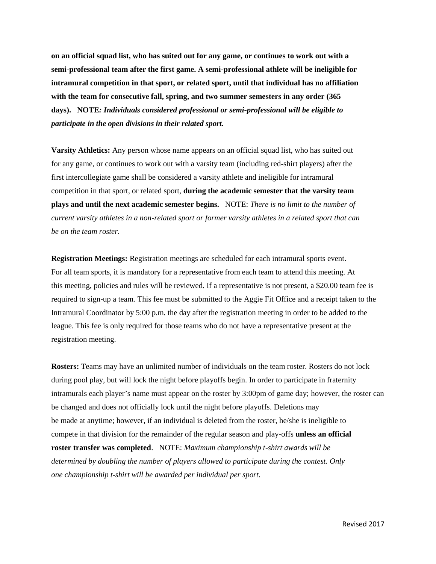**on an official squad list, who has suited out for any game, or continues to work out with a semi-professional team after the first game. A semi-professional athlete will be ineligible for intramural competition in that sport, or related sport, until that individual has no affiliation with the team for consecutive fall, spring, and two summer semesters in any order (365 days). NOTE***: Individuals considered professional or semi-professional will be eligible to participate in the open divisions in their related sport.*

**Varsity Athletics:** Any person whose name appears on an official squad list, who has suited out for any game, or continues to work out with a varsity team (including red-shirt players) after the first intercollegiate game shall be considered a varsity athlete and ineligible for intramural competition in that sport, or related sport, **during the academic semester that the varsity team plays and until the next academic semester begins.** NOTE: *There is no limit to the number of current varsity athletes in a non-related sport or former varsity athletes in a related sport that can be on the team roster.*

**Registration Meetings:** Registration meetings are scheduled for each intramural sports event. For all team sports, it is mandatory for a representative from each team to attend this meeting. At this meeting, policies and rules will be reviewed. If a representative is not present, a \$20.00 team fee is required to sign-up a team. This fee must be submitted to the Aggie Fit Office and a receipt taken to the Intramural Coordinator by 5:00 p.m. the day after the registration meeting in order to be added to the league. This fee is only required for those teams who do not have a representative present at the registration meeting.

**Rosters:** Teams may have an unlimited number of individuals on the team roster. Rosters do not lock during pool play, but will lock the night before playoffs begin. In order to participate in fraternity intramurals each player's name must appear on the roster by 3:00pm of game day; however, the roster can be changed and does not officially lock until the night before playoffs. Deletions may be made at anytime; however, if an individual is deleted from the roster, he/she is ineligible to compete in that division for the remainder of the regular season and play-offs **unless an official roster transfer was completed**. NOTE: *Maximum championship t-shirt awards will be determined by doubling the number of players allowed to participate during the contest. Only one championship t-shirt will be awarded per individual per sport.*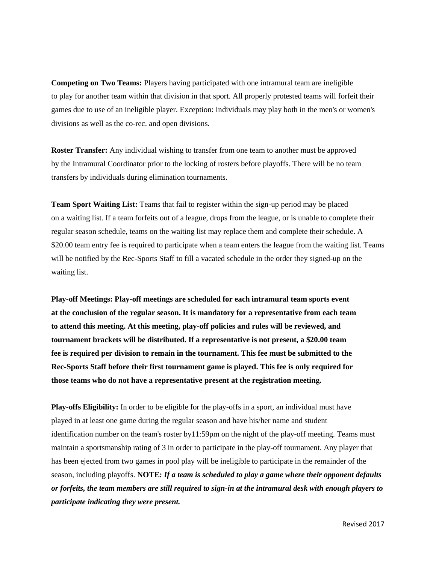**Competing on Two Teams:** Players having participated with one intramural team are ineligible to play for another team within that division in that sport. All properly protested teams will forfeit their games due to use of an ineligible player. Exception: Individuals may play both in the men's or women's divisions as well as the co-rec. and open divisions.

**Roster Transfer:** Any individual wishing to transfer from one team to another must be approved by the Intramural Coordinator prior to the locking of rosters before playoffs. There will be no team transfers by individuals during elimination tournaments.

**Team Sport Waiting List:** Teams that fail to register within the sign-up period may be placed on a waiting list. If a team forfeits out of a league, drops from the league, or is unable to complete their regular season schedule, teams on the waiting list may replace them and complete their schedule. A \$20.00 team entry fee is required to participate when a team enters the league from the waiting list. Teams will be notified by the Rec-Sports Staff to fill a vacated schedule in the order they signed-up on the waiting list.

**Play-off Meetings: Play-off meetings are scheduled for each intramural team sports event at the conclusion of the regular season. It is mandatory for a representative from each team to attend this meeting. At this meeting, play-off policies and rules will be reviewed, and tournament brackets will be distributed. If a representative is not present, a \$20.00 team fee is required per division to remain in the tournament. This fee must be submitted to the Rec-Sports Staff before their first tournament game is played. This fee is only required for those teams who do not have a representative present at the registration meeting.**

**Play-offs Eligibility:** In order to be eligible for the play-offs in a sport, an individual must have played in at least one game during the regular season and have his/her name and student identification number on the team's roster by11:59pm on the night of the play-off meeting. Teams must maintain a sportsmanship rating of 3 in order to participate in the play-off tournament. Any player that has been ejected from two games in pool play will be ineligible to participate in the remainder of the season, including playoffs. **NOTE***: If a team is scheduled to play a game where their opponent defaults or forfeits, the team members are still required to sign-in at the intramural desk with enough players to participate indicating they were present.*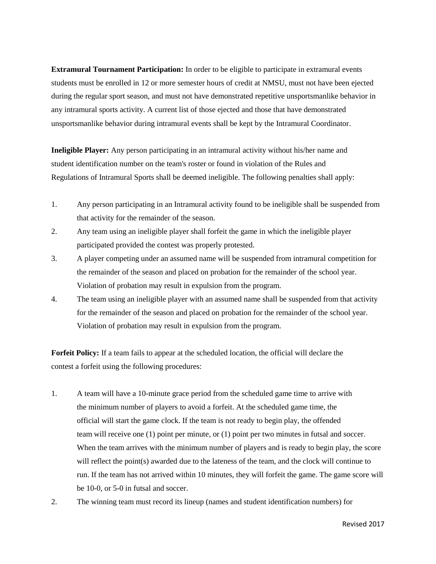**Extramural Tournament Participation:** In order to be eligible to participate in extramural events students must be enrolled in 12 or more semester hours of credit at NMSU, must not have been ejected during the regular sport season, and must not have demonstrated repetitive unsportsmanlike behavior in any intramural sports activity. A current list of those ejected and those that have demonstrated unsportsmanlike behavior during intramural events shall be kept by the Intramural Coordinator.

**Ineligible Player:** Any person participating in an intramural activity without his/her name and student identification number on the team's roster or found in violation of the Rules and Regulations of Intramural Sports shall be deemed ineligible. The following penalties shall apply:

- 1. Any person participating in an Intramural activity found to be ineligible shall be suspended from that activity for the remainder of the season.
- 2. Any team using an ineligible player shall forfeit the game in which the ineligible player participated provided the contest was properly protested.
- 3. A player competing under an assumed name will be suspended from intramural competition for the remainder of the season and placed on probation for the remainder of the school year. Violation of probation may result in expulsion from the program.
- 4. The team using an ineligible player with an assumed name shall be suspended from that activity for the remainder of the season and placed on probation for the remainder of the school year. Violation of probation may result in expulsion from the program.

**Forfeit Policy:** If a team fails to appear at the scheduled location, the official will declare the contest a forfeit using the following procedures:

- 1. A team will have a 10-minute grace period from the scheduled game time to arrive with the minimum number of players to avoid a forfeit. At the scheduled game time, the official will start the game clock. If the team is not ready to begin play, the offended team will receive one (1) point per minute, or (1) point per two minutes in futsal and soccer. When the team arrives with the minimum number of players and is ready to begin play, the score will reflect the point(s) awarded due to the lateness of the team, and the clock will continue to run. If the team has not arrived within 10 minutes, they will forfeit the game. The game score will be 10-0, or 5-0 in futsal and soccer.
- 2. The winning team must record its lineup (names and student identification numbers) for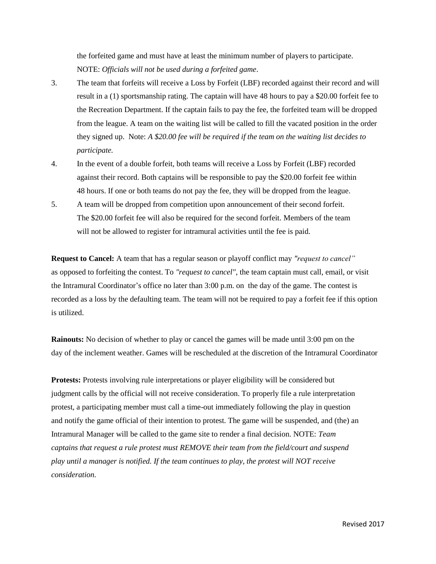the forfeited game and must have at least the minimum number of players to participate. NOTE: *Officials will not be used during a forfeited game*.

- 3. The team that forfeits will receive a Loss by Forfeit (LBF) recorded against their record and will result in a (1) sportsmanship rating. The captain will have 48 hours to pay a \$20.00 forfeit fee to the Recreation Department. If the captain fails to pay the fee, the forfeited team will be dropped from the league. A team on the waiting list will be called to fill the vacated position in the order they signed up. Note: *A \$20.00 fee will be required if the team on the waiting list decides to participate.*
- 4. In the event of a double forfeit, both teams will receive a Loss by Forfeit (LBF) recorded against their record. Both captains will be responsible to pay the \$20.00 forfeit fee within 48 hours. If one or both teams do not pay the fee, they will be dropped from the league.
- 5. A team will be dropped from competition upon announcement of their second forfeit. The \$20.00 forfeit fee will also be required for the second forfeit. Members of the team will not be allowed to register for intramural activities until the fee is paid.

**Request to Cancel:** A team that has a regular season or playoff conflict may *"request to cancel"* as opposed to forfeiting the contest. To *"request to cancel"*, the team captain must call, email, or visit the Intramural Coordinator's office no later than 3:00 p.m. on the day of the game. The contest is recorded as a loss by the defaulting team. The team will not be required to pay a forfeit fee if this option is utilized.

**Rainouts:** No decision of whether to play or cancel the games will be made until 3:00 pm on the day of the inclement weather. Games will be rescheduled at the discretion of the Intramural Coordinator

**Protests:** Protests involving rule interpretations or player eligibility will be considered but judgment calls by the official will not receive consideration. To properly file a rule interpretation protest, a participating member must call a time-out immediately following the play in question and notify the game official of their intention to protest. The game will be suspended, and (the) an Intramural Manager will be called to the game site to render a final decision. NOTE: *Team captains that request a rule protest must REMOVE their team from the field/court and suspend play until a manager is notified. If the team continues to play, the protest will NOT receive consideration.*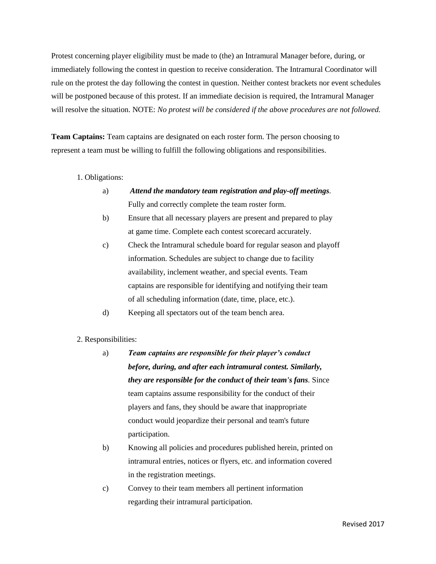Protest concerning player eligibility must be made to (the) an Intramural Manager before, during, or immediately following the contest in question to receive consideration. The Intramural Coordinator will rule on the protest the day following the contest in question. Neither contest brackets nor event schedules will be postponed because of this protest. If an immediate decision is required, the Intramural Manager will resolve the situation. NOTE: *No protest will be considered if the above procedures are not followed.*

**Team Captains:** Team captains are designated on each roster form. The person choosing to represent a team must be willing to fulfill the following obligations and responsibilities.

#### 1. Obligations:

- a) *Attend the mandatory team registration and play-off meetings.* Fully and correctly complete the team roster form.
- b) Ensure that all necessary players are present and prepared to play at game time. Complete each contest scorecard accurately.
- c) Check the Intramural schedule board for regular season and playoff information. Schedules are subject to change due to facility availability, inclement weather, and special events. Team captains are responsible for identifying and notifying their team of all scheduling information (date, time, place, etc.).
- d) Keeping all spectators out of the team bench area.

#### 2. Responsibilities:

- a) *Team captains are responsible for their player's conduct before, during, and after each intramural contest. Similarly, they are responsible for the conduct of their team's fans.* Since team captains assume responsibility for the conduct of their players and fans, they should be aware that inappropriate conduct would jeopardize their personal and team's future participation.
- b) Knowing all policies and procedures published herein, printed on intramural entries, notices or flyers, etc. and information covered in the registration meetings.
- c) Convey to their team members all pertinent information regarding their intramural participation.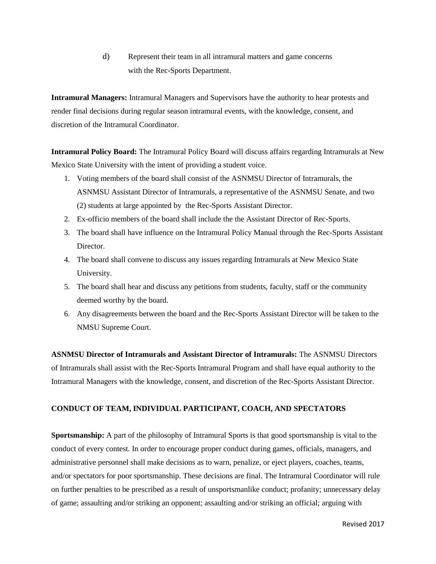d) Represent their team in all intramural matters and game concerns with the Rec-Sports Department.

**Intramural Managers:** Intramural Managers and Supervisors have the authority to hear protests and render final decisions during regular season intramural events, with the knowledge, consent, and discretion of the Intramural Coordinator.

**Intramural Policy Board:** The Intramural Policy Board will discuss affairs regarding Intramurals at New Mexico State University with the intent of providing a student voice.

- 1. Voting members of the board shall consist of the ASNMSU Director of Intramurals, the ASNMSU Assistant Director of Intramurals, a representative of the ASNMSU Senate, and two (2) students at large appointed by the Rec-Sports Assistant Director.
- 2. Ex-officio members of the board shall include the the Assistant Director of Rec-Sports.
- 3. The board shall have influence on the Intramural Policy Manual through the Rec-Sports Assistant Director.
- 4. The board shall convene to discuss any issues regarding Intramurals at New Mexico State University.
- 5. The board shall hear and discuss any petitions from students, faculty, staff or the community deemed worthy by the board.
- 6. Any disagreements between the board and the Rec-Sports Assistant Director will be taken to the NMSU Supreme Court.

**ASNMSU Director of Intramurals and Assistant Director of Intramurals:** The ASNMSU Directors of Intramurals shall assist with the Rec-Sports Intramural Program and shall have equal authority to the Intramural Managers with the knowledge, consent, and discretion of the Rec-Sports Assistant Director.

# **CONDUCT OF TEAM, INDIVIDUAL PARTICIPANT, COACH, AND SPECTATORS**

**Sportsmanship:** A part of the philosophy of Intramural Sports is that good sportsmanship is vital to the conduct of every contest. In order to encourage proper conduct during games, officials, managers, and administrative personnel shall make decisions as to warn, penalize, or eject players, coaches, teams, and/or spectators for poor sportsmanship. These decisions are final. The Intramural Coordinator will rule on further penalties to be prescribed as a result of unsportsmanlike conduct; profanity; unnecessary delay of game; assaulting and/or striking an opponent; assaulting and/or striking an official; arguing with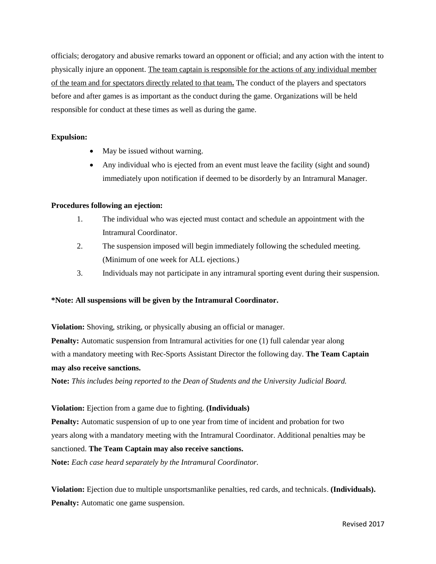officials; derogatory and abusive remarks toward an opponent or official; and any action with the intent to physically injure an opponent. The team captain is responsible for the actions of any individual member of the team and for spectators directly related to that team**.** The conduct of the players and spectators before and after games is as important as the conduct during the game. Organizations will be held responsible for conduct at these times as well as during the game.

# **Expulsion:**

- May be issued without warning.
- Any individual who is ejected from an event must leave the facility (sight and sound) immediately upon notification if deemed to be disorderly by an Intramural Manager.

# **Procedures following an ejection:**

- 1. The individual who was ejected must contact and schedule an appointment with the Intramural Coordinator.
- 2. The suspension imposed will begin immediately following the scheduled meeting. (Minimum of one week for ALL ejections.)
- 3. Individuals may not participate in any intramural sporting event during their suspension.

# **\*Note: All suspensions will be given by the Intramural Coordinator.**

**Violation:** Shoving, striking, or physically abusing an official or manager. **Penalty:** Automatic suspension from Intramural activities for one (1) full calendar year along with a mandatory meeting with Rec-Sports Assistant Director the following day. **The Team Captain may also receive sanctions.**

**Note:** *This includes being reported to the Dean of Students and the University Judicial Board.*

**Violation:** Ejection from a game due to fighting. **(Individuals)**

**Penalty:** Automatic suspension of up to one year from time of incident and probation for two years along with a mandatory meeting with the Intramural Coordinator. Additional penalties may be sanctioned. **The Team Captain may also receive sanctions.**

**Note:** *Each case heard separately by the Intramural Coordinator.*

**Violation:** Ejection due to multiple unsportsmanlike penalties, red cards, and technicals. **(Individuals). Penalty:** Automatic one game suspension.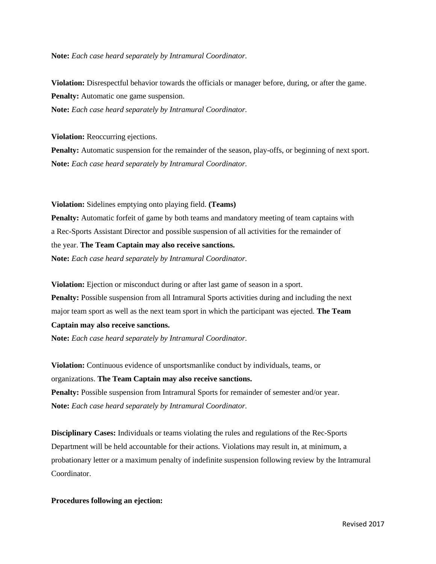**Note:** *Each case heard separately by Intramural Coordinator.*

**Violation:** Disrespectful behavior towards the officials or manager before, during, or after the game. **Penalty:** Automatic one game suspension. **Note:** *Each case heard separately by Intramural Coordinator.*

**Violation:** Reoccurring ejections.

**Penalty:** Automatic suspension for the remainder of the season, play-offs, or beginning of next sport. **Note:** *Each case heard separately by Intramural Coordinator.*

**Violation:** Sidelines emptying onto playing field. **(Teams)**

**Penalty:** Automatic forfeit of game by both teams and mandatory meeting of team captains with a Rec-Sports Assistant Director and possible suspension of all activities for the remainder of the year. **The Team Captain may also receive sanctions.**

**Note:** *Each case heard separately by Intramural Coordinator.*

**Violation:** Ejection or misconduct during or after last game of season in a sport. Penalty: Possible suspension from all Intramural Sports activities during and including the next major team sport as well as the next team sport in which the participant was ejected. **The Team Captain may also receive sanctions.**

**Note:** *Each case heard separately by Intramural Coordinator.*

**Violation:** Continuous evidence of unsportsmanlike conduct by individuals, teams, or organizations. **The Team Captain may also receive sanctions. Penalty:** Possible suspension from Intramural Sports for remainder of semester and/or year. **Note:** *Each case heard separately by Intramural Coordinator.*

**Disciplinary Cases:** Individuals or teams violating the rules and regulations of the Rec-Sports Department will be held accountable for their actions. Violations may result in, at minimum, a probationary letter or a maximum penalty of indefinite suspension following review by the Intramural Coordinator.

#### **Procedures following an ejection:**